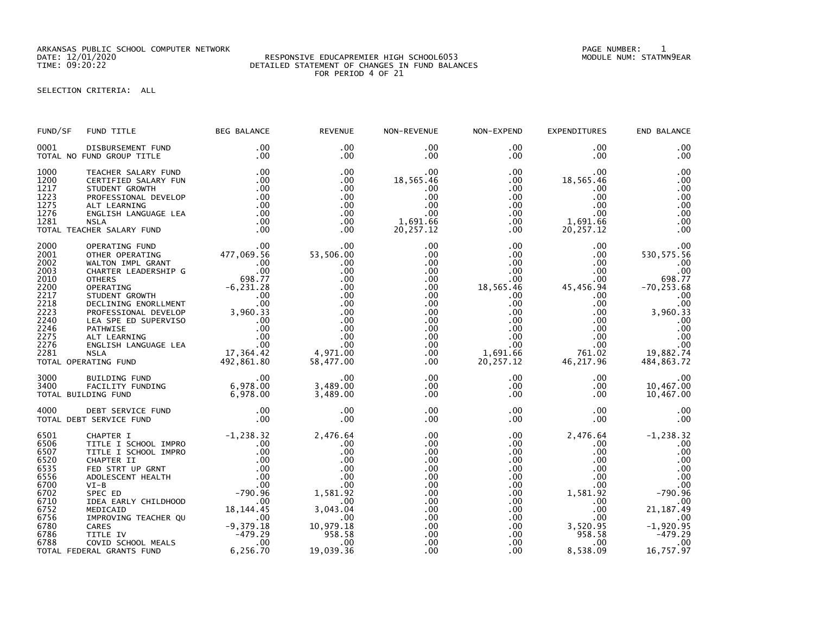ARKANSAS PUBLIC SCHOOL COMPUTER NETWORK PAGE NUMBER: 1

## DATE: 12/01/2020 RESPONSIVE EDUCAPREMIER HIGH SCHOOL6053 MODULE NUM: STATMN9EAR TIME: 09:20:22 DETAILED STATEMENT OF CHANGES IN FUND BALANCES FOR PERIOD 4 OF 21

SELECTION CRITERIA: ALL

| FUND/SF                                                                                                      | FUND TITLE                                                                                                                                                                                                                                                                                                                                                                               | <b>BEG BALANCE</b>                                                                                                                                                   | <b>REVENUE</b>                                                                                                                         | NON-REVENUE                                                                                                                                                            | NON-EXPEND                                                                                                                                                                            | <b>EXPENDITURES</b>                                                                                                                                                        | END BALANCE                                                                                                                                      |
|--------------------------------------------------------------------------------------------------------------|------------------------------------------------------------------------------------------------------------------------------------------------------------------------------------------------------------------------------------------------------------------------------------------------------------------------------------------------------------------------------------------|----------------------------------------------------------------------------------------------------------------------------------------------------------------------|----------------------------------------------------------------------------------------------------------------------------------------|------------------------------------------------------------------------------------------------------------------------------------------------------------------------|---------------------------------------------------------------------------------------------------------------------------------------------------------------------------------------|----------------------------------------------------------------------------------------------------------------------------------------------------------------------------|--------------------------------------------------------------------------------------------------------------------------------------------------|
| 0001                                                                                                         | DISBURSEMENT FUND<br>TOTAL NO FUND GROUP TITLE                                                                                                                                                                                                                                                                                                                                           | $.00 \,$<br>.00                                                                                                                                                      | .00<br>$.00 \times$                                                                                                                    | $.00 \,$<br>$.00 \,$                                                                                                                                                   | .00<br>$.00 \,$                                                                                                                                                                       | .00<br>$.00 \,$                                                                                                                                                            | .00<br>.00                                                                                                                                       |
| 1000<br>1200<br>1217<br>1223<br>1275                                                                         | TEACHER SALARY FUND<br>CERTIFIED SALARY FUN<br>STUDENT GROWTH<br>PROFESSIONAL DEVELOP<br>ALT LEARNING                                                                                                                                                                                                                                                                                    | .00<br>.00<br>.00<br>.00<br>.00                                                                                                                                      | .00<br>$.00 \,$<br>$.00 \,$<br>$.00 \,$<br>$.00 \,$                                                                                    | $.00 \,$<br>18,565.46<br>.00<br>$.00 \times$<br>$.00 \,$                                                                                                               | $.00 \,$<br>$.00 \,$<br>$.00 \,$<br>$.00 \,$<br>$.00\,$                                                                                                                               | .00<br>18,565.46<br>.00<br>$.00 \,$<br>$.00 \,$                                                                                                                            | .00<br>.00<br>.00<br>.00<br>.00                                                                                                                  |
| 1276<br>1281                                                                                                 | ENGLISH LANGUAGE LEA<br><b>NSLA</b><br>TOTAL TEACHER SALARY FUND                                                                                                                                                                                                                                                                                                                         | .00<br>.00<br>.00                                                                                                                                                    | .00<br>$.00 \,$<br>$.00 \times$                                                                                                        | .00<br>1,691.66<br>20, 257.12                                                                                                                                          | .00<br>$.00 \,$<br>$.00 \,$                                                                                                                                                           | $.00 \times$<br>1,691.66<br>20,257.12                                                                                                                                      | .00<br>.00<br>.00                                                                                                                                |
| 2000<br>2001<br>2002<br>2003<br>2010<br>2200<br>2217<br>2218<br>2223<br>2240<br>2246<br>2275<br>2276<br>2281 | OPERATING FUND<br>OTHER OPERATING<br>WALTON IMPL GRANT<br>CHARTER LEADERSHIP G<br><b>OTHERS</b><br>OTHERS<br>OPERATING<br>STUDENT GROWTH<br>DECLINING ENORLLMENT<br>DECLINING ENORLLMENT<br>PROFESSIONAL DEVELOP<br>LEA SPE ED SUPERVISO<br>LEA SPE ED SUPERVISO<br>DATHWISE<br>ALT LEARNING<br>ALT LEARNING<br>NSLA (00<br>NSLA (00<br>NSLA (00<br>NSLA (00<br><br>TOTAL OPERATING FUND | .00<br>477,069.56<br>$\begin{array}{c} .00 \\ .00 \\ .098.77 \end{array}$<br>492,861.80                                                                              | $.00 \,$<br>53,506.00<br>$.00 \,$<br>.00<br>$.00 \,$<br>.00<br>.00<br>.00<br>.00<br>.00.<br>.00<br>.00<br>.00<br>4,971.00<br>58,477.00 | $.00 \,$<br>$.00 \,$<br>$.00 \,$<br>$.00 \,$<br>$.00 \,$<br>$.00 \,$<br>$.00 \,$<br>.00<br>$.00 \,$<br>$.00 \,$<br>$.00 \,$<br>$.00 \,$<br>$.00 \,$<br>.00<br>$.00 \,$ | $.00 \,$<br>$.00 \,$<br>$.00 \,$<br>.00 <sub>1</sub><br>$.00 \,$<br>18,565.46<br>$.00 \,$<br>.00<br>$.00\,$<br>$.00 \,$<br>$.00 \,$<br>$.00 \,$<br>$.00 \,$<br>1,691.66<br>20, 257.12 | $.00 \,$<br>$.00 \,$<br>$.00 \,$<br>$.00 \,$<br>$.00 \,$<br>45,456.94<br>$.00\,$<br>.00<br>$.00 \,$<br>$.00 \,$<br>$.00 \,$<br>$.00 \,$<br>$.00 \,$<br>761.02<br>46,217.96 | .00<br>530, 575.56<br>.00<br>.00<br>698.77<br>$-70, 253.68$<br>.00<br>$00$ .<br>33.960.33<br>.00<br>.00<br>.00<br>.00<br>19,882.74<br>484,863.72 |
| 3000<br>3400                                                                                                 | BUILDING FUND<br>FACILITY FUNDING<br>TOTAL BUILDING FUND                                                                                                                                                                                                                                                                                                                                 | $.00 \,$<br>6,978.00<br>6,978.00<br>6,978.00                                                                                                                         | $.00 \,$<br>3,489.00<br>3,489.00                                                                                                       | $.00 \,$<br>$.00 \,$<br>$.00 \,$                                                                                                                                       | $.00 \,$<br>$.00 \,$<br>$.00 \,$                                                                                                                                                      | $.00 \cdot$<br>$.00 \,$<br>$.00 \,$                                                                                                                                        | .00<br>10,467.00<br>10,467.00                                                                                                                    |
| 4000                                                                                                         | DEBT SERVICE FUND<br>TOTAL DEBT SERVICE FUND                                                                                                                                                                                                                                                                                                                                             | .00<br>.00 <sub>1</sub>                                                                                                                                              | .00<br>.00                                                                                                                             | .00<br>$.00 \,$                                                                                                                                                        | $.00 \,$<br>.00                                                                                                                                                                       | $.00 \,$<br>$.00 \,$                                                                                                                                                       | .00<br>.00                                                                                                                                       |
| 6501<br>6506<br>6507<br>6520<br>6535<br>6556<br>6700<br>6702<br>6710<br>6752<br>6756<br>6780<br>6786<br>6788 | CHAPTER I<br>TITLE I SCHOOL IMPRO<br>TITLE I SCHOOL IMPRO<br>CHAPTER II<br>FED STRT UP GRNT<br>ADOLESCENT HEALTH<br>$VI-B$<br>SPEC ED<br>IDEA EARLY CHILDHOOD<br>MEDICAID<br>IMPROVING TEACHER QU<br>CARES<br>TITLE IV<br>COVID SCHOOL MEALS<br>RAI GRANTS FUND                                                                                                                          | $-1, 238.32$<br>$.00 \cdot$<br>.00<br>ں.<br>00.<br>00.<br>790.96 -<br>00.<br>.00<br>18, 144. 45<br>$\sim$ 00<br>-9,379.18<br>-479.29<br>$\overline{\phantom{0}}$ .00 | 2,476.64<br>$.00 \,$<br>.00<br>.00<br>$.00 \,$<br>.00<br>$.00 \,$<br>1,581.92<br>.00<br>3,043.04<br>.00<br>10,979.18<br>958.58<br>.00  | $.00 \,$<br>.00<br>$.00 \,$<br>.00<br>$.00 \,$<br>$.00 \,$<br>$.00 \,$<br>.00<br>$.00 \,$<br>$.00 \cdot$<br>$.00 \,$<br>$.00 \,$<br>$.00 \,$<br>.00 <sub>1</sub>       | .00<br>.00<br>.00<br>.00<br>$.00 \cdot$<br>$.00 \cdot$<br>$.00 \,$<br>.00<br>.00<br>$.00 \,$<br>.00<br>$.00 \cdot$<br>$.00 \cdot$<br>$.00 \,$                                         | 2,476.64<br>.00<br>$.00 \,$<br>$.00 \,$<br>$.00 \,$<br>$.00 \,$<br>$.00 \,$<br>1,581.92<br>$.00 \,$<br>$.00 \,$<br>.00 <sub>1</sub><br>3,520.95<br>958.58<br>$.00 \,$      | $-1, 238.32$<br>.00<br>.00<br>.00<br>.00<br>.00<br>.00<br>$-790.96$<br>.00<br>21, 187.49<br>$\sim$ 00<br>$-1,920.95$<br>$-479.29$<br>.00         |
|                                                                                                              | TOTAL FEDERAL GRANTS FUND                                                                                                                                                                                                                                                                                                                                                                | 6,256.70                                                                                                                                                             | 19,039.36                                                                                                                              | $.00 \,$                                                                                                                                                               | $.00 \,$                                                                                                                                                                              | 8,538.09                                                                                                                                                                   | 16,757.97                                                                                                                                        |